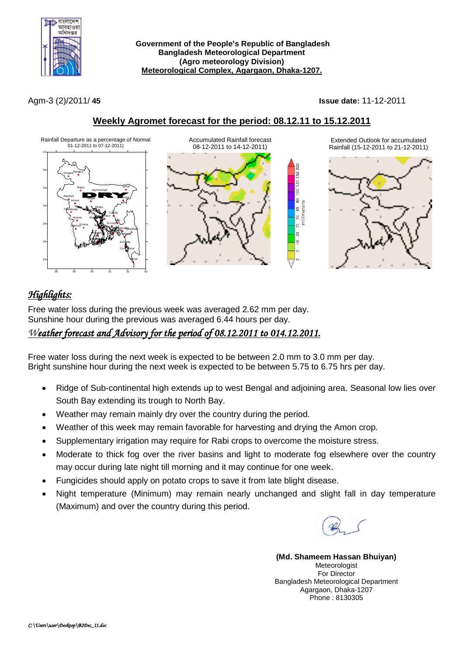

**Government of the People's Republic of Bangladesh Bangladesh Meteorological Department (Agro meteorology Division) Meteorological Complex, Agargaon, Dhaka-1207.**

Agm-3 (2)/2011/ **45 Issue date:** 11-12-2011

## **Weekly Agromet forecast for the period: 08.12.11 to 15.12.2011**



# *Highlights:*

Free water loss during the previous week was averaged 2.62 mm per day. Sunshine hour during the previous was averaged 6.44 hours per day.

### *Weather forecast and Advisory for the period of 08.12.2011 to 014.12.2011.*

Free water loss during the next week is expected to be between 2.0 mm to 3.0 mm per day. Bright sunshine hour during the next week is expected to be between 5.75 to 6.75 hrs per day.

- Ridge of Sub-continental high extends up to west Bengal and adjoining area. Seasonal low lies over South Bay extending its trough to North Bay.
- Weather may remain mainly dry over the country during the period.
- Weather of this week may remain favorable for harvesting and drying the Amon crop.
- Supplementary irrigation may require for Rabi crops to overcome the moisture stress.
- Moderate to thick fog over the river basins and light to moderate fog elsewhere over the country may occur during late night till morning and it may continue for one week.
- Fungicides should apply on potato crops to save it from late blight disease.
- Night temperature (Minimum) may remain nearly unchanged and slight fall in day temperature (Maximum) and over the country during this period.

**(Md. Shameem Hassan Bhuiyan)** Meteorologist For Director Bangladesh Meteorological Department Agargaon, Dhaka-1207 Phone : 8130305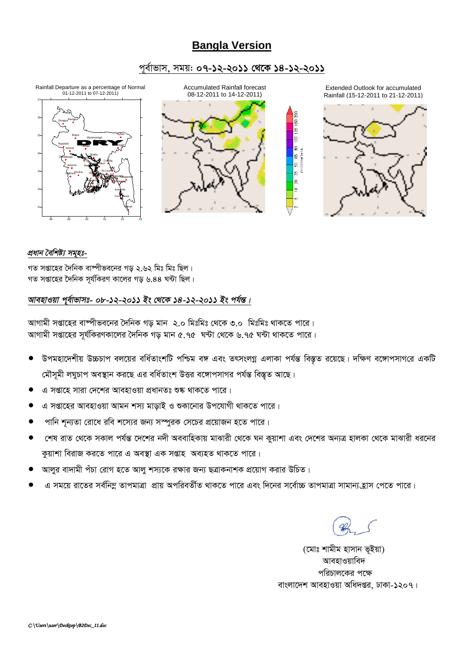## **Bangla Version**

### পূর্বাভাস, সময়: ০৭-১২-২০১১ থেকে ১৪-১২-২০১১



#### প্ৰধান বৈশিষ্ট্য সমূহঃ-

গত সপ্তাহের দৈনিক বাম্পীভবনের গড় ২.৬২ মিঃ মিঃ ছিল। গত সপ্তাহের দৈনিক সূর্যকিরণ কালের গড় ৬.৪৪ ঘন্টা ছিল।

### আবহাওয়া পুর্বাভাসঃ- ০৮-১২-২০১১ ইং থেকে ১৪-১২-২০১১ ইং পর্যন্ত।

আগামী সপ্তাহের বাস্পীভবনের দৈনিক গড মান ২.০ মিঃমিঃ থেকে ৩.০ মিঃমিঃ থাকতে পারে। আগামী সপ্তাহের সূর্যকিরণকালের দৈনিক গড় মান ৫.৭৫ ঘন্টা থেকে ৬.৭৫ ঘন্টা থাকতে পারে।

- উপমহাদেশীয় উচ্চচাপ বলয়ের বর্ধিতাংশটি পশ্চিম বঙ্গ এবং তৎসংলগ্ন এলাকা পর্যন্ত বিস্তৃত রয়েছে। দক্ষিণ বঙ্গোপসাগরে একটি মৌসমী লঘুচাপ অবস্থান করছে এর বর্ধিতাংশ উত্তর বঙ্গোপসাগর পর্যন্ত বিস্তৃত আছে।
- এ সপ্তাহে সারা দেশের আবহাওয়া প্রধানতঃ শুষ্ক থাকতে পারে।
- এ সপ্তাহের আবহাওয়া আমন শস্য মাডাই ও শুকানোর উপযোগী থাকতে পারে।
- পানি শূন্যতা রোধে রবি শস্যের জন্য সম্পুরক সেচের প্রয়োজন হতে পারে।
- শেষ রাত থেকে সকাল পর্যন্ত দেশের নদী অববাহিকায় মাঝারী থেকে ঘন কুয়াশা এবং দেশের অন্যত্র হালকা থেকে মাঝারী ধরনের কুয়াশা বিরাজ করতে পারে এ অবস্থা এক সপ্তাহ অব্যহত থাকতে পারে।
- আলুর বাদামী পঁচা রোগ হতে আলু শস্যকে রক্ষার জন্য ছত্রাকনাশক প্রয়োগ করার উচিত।
- এ সময়ে রাতের সর্বনিম্ন তাপমাত্রা প্রায় অপরিবর্তীত থাকতে পারে এবং দিনের সর্বোচ্চ তাপমাত্রা সামান্যহ্রাস পেতে পারে।

(মোঃ শামীম হাসান ভূইয়া) আবহাওয়াবিদ পরিচালকের পক্ষে বাংলাদেশ আবহাওয়া অধিদপ্তর, ঢাকা-১২০৭।